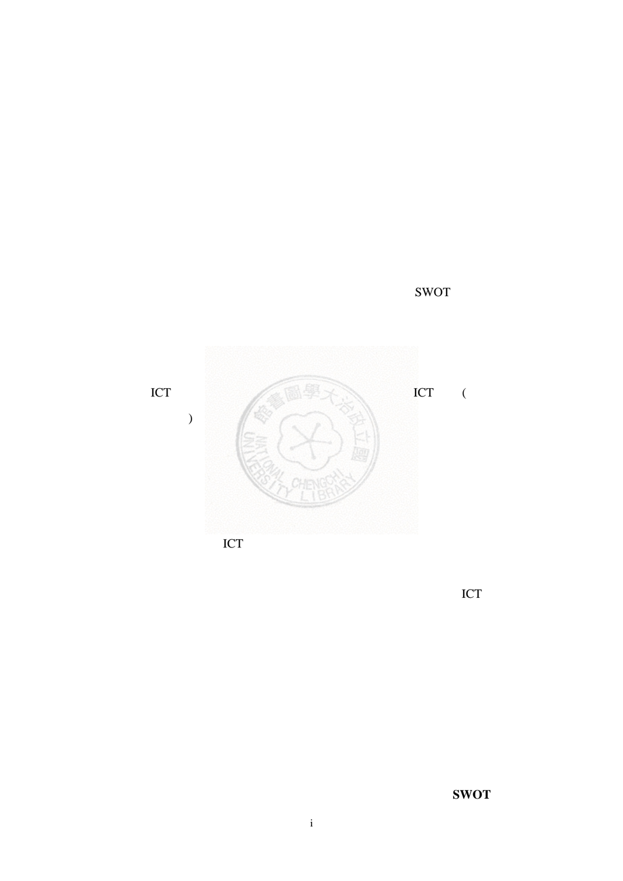關鍵字:網咖、資訊休閒業、線上遊戲、鑽石模型、五力分析、**SWOT** 分析。



SWOT

 $\overline{C}$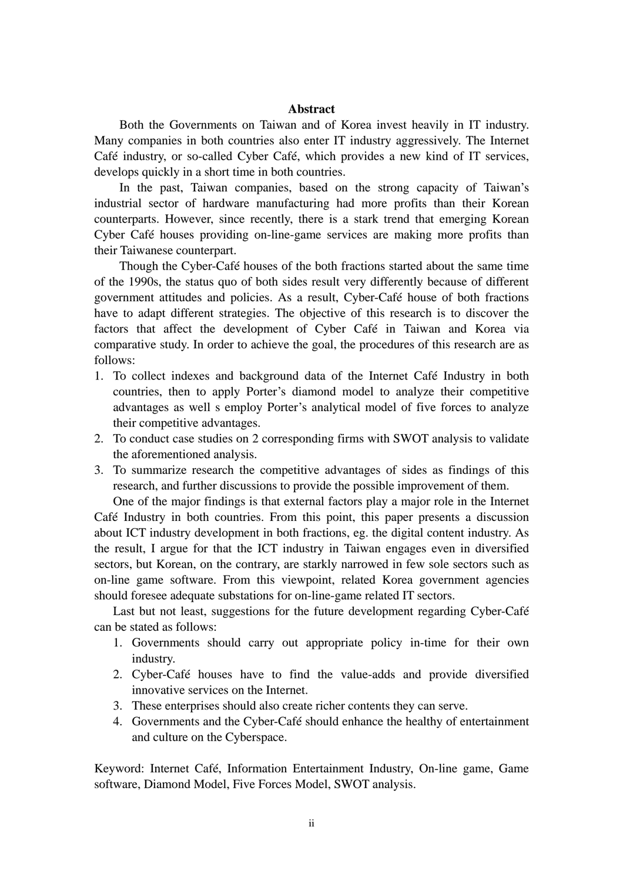## **Abstract**

Both the Governments on Taiwan and of Korea invest heavily in IT industry. Many companies in both countries also enter IT industry aggressively. The Internet Café industry, or so-called Cyber Café, which provides a new kind of IT services, develops quickly in a short time in both countries.

In the past, Taiwan companies, based on the strong capacity of Taiwan's industrial sector of hardware manufacturing had more profits than their Korean counterparts. However, since recently, there is a stark trend that emerging Korean Cyber Café houses providing on-line-game services are making more profits than their Taiwanese counterpart.

Though the Cyber-Café houses of the both fractions started about the same time of the 1990s, the status quo of both sides result very differently because of different government attitudes and policies. As a result, Cyber-Café house of both fractions have to adapt different strategies. The objective of this research is to discover the factors that affect the development of Cyber Café in Taiwan and Korea via comparative study. In order to achieve the goal, the procedures of this research are as follows:

- 1. To collect indexes and background data of the Internet Café Industry in both countries, then to apply Porter's diamond model to analyze their competitive advantages as well s employ Porter's analytical model of five forces to analyze their competitive advantages.
- 2. To conduct case studies on 2 corresponding firms with SWOT analysis to validate the aforementioned analysis.
- 3. To summarize research the competitive advantages of sides as findings of this research, and further discussions to provide the possible improvement of them.

One of the major findings is that external factors play a major role in the Internet Café Industry in both countries. From this point, this paper presents a discussion about ICT industry development in both fractions, eg. the digital content industry. As the result, I argue for that the ICT industry in Taiwan engages even in diversified sectors, but Korean, on the contrary, are starkly narrowed in few sole sectors such as on-line game software. From this viewpoint, related Korea government agencies should foresee adequate substations for on-line-game related IT sectors.

Last but not least, suggestions for the future development regarding Cyber-Café can be stated as follows:

- 1. Governments should carry out appropriate policy in-time for their own industry.
- 2. Cyber-Café houses have to find the value-adds and provide diversified innovative services on the Internet.
- 3. These enterprises should also create richer contents they can serve.
- 4. Governments and the Cyber-Café should enhance the healthy of entertainment and culture on the Cyberspace.

Keyword: Internet Café, Information Entertainment Industry, On-line game, Game software, Diamond Model, Five Forces Model, SWOT analysis.